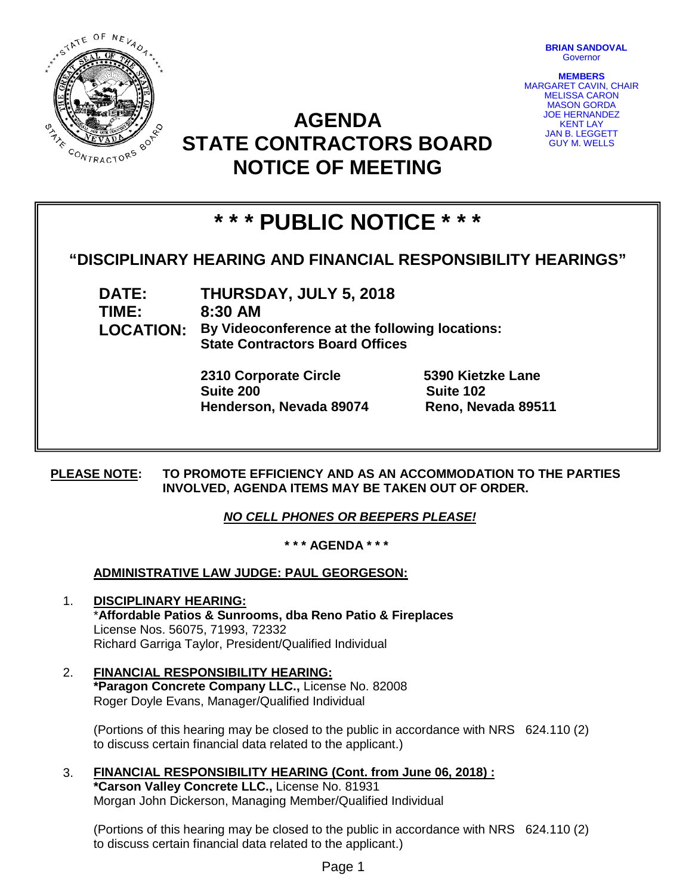

**BRIAN SANDOVAL Governor** 

**MEMBERS** MARGARET CAVIN, CHAIR MELISSA CARON MASON GORDA JOE HERNANDEZ KENT LAY JAN B. LEGGETT GUY M. WELLS

## **AGENDA STATE CONTRACTORS BOARD NOTICE OF MEETING**

# **\* \* \* PUBLIC NOTICE \* \* \***

## **"DISCIPLINARY HEARING AND FINANCIAL RESPONSIBILITY HEARINGS"**

**DATE: THURSDAY, JULY 5, 2018 TIME: 8:30 AM LOCATION: By Videoconference at the following locations: State Contractors Board Offices**

> **2310 Corporate Circle 5390 Kietzke Lane Suite 200 Suite 102 Henderson, Nevada 89074 Reno, Nevada 89511**

**PLEASE NOTE: TO PROMOTE EFFICIENCY AND AS AN ACCOMMODATION TO THE PARTIES INVOLVED, AGENDA ITEMS MAY BE TAKEN OUT OF ORDER.**

## *NO CELL PHONES OR BEEPERS PLEASE!*

**\* \* \* AGENDA \* \* \***

## **ADMINISTRATIVE LAW JUDGE: PAUL GEORGESON:**

- 1. **DISCIPLINARY HEARING:**  \***Affordable Patios & Sunrooms, dba Reno Patio & Fireplaces** License Nos. 56075, 71993, 72332 Richard Garriga Taylor, President/Qualified Individual
- 2. **FINANCIAL RESPONSIBILITY HEARING: \*Paragon Concrete Company LLC.,** License No. 82008 Roger Doyle Evans, Manager/Qualified Individual

(Portions of this hearing may be closed to the public in accordance with NRS 624.110 (2) to discuss certain financial data related to the applicant.)

3. **FINANCIAL RESPONSIBILITY HEARING (Cont. from June 06, 2018) : \*Carson Valley Concrete LLC.,** License No. 81931 Morgan John Dickerson, Managing Member/Qualified Individual

(Portions of this hearing may be closed to the public in accordance with NRS 624.110 (2) to discuss certain financial data related to the applicant.)